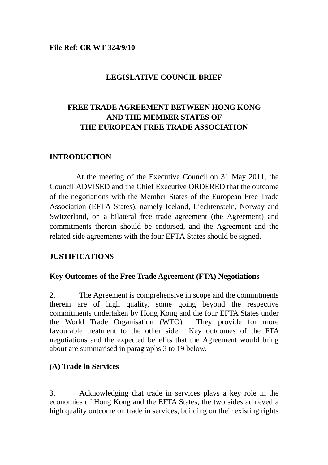#### **File Ref: CR WT 324/9/10**

#### **LEGISLATIVE COUNCIL BRIEF**

# **FREE TRADE AGREEMENT BETWEEN HONG KONG AND THE MEMBER STATES OF THE EUROPEAN FREE TRADE ASSOCIATION**

#### **INTRODUCTION**

At the meeting of the Executive Council on 31 May 2011, the Council ADVISED and the Chief Executive ORDERED that the outcome of the negotiations with the Member States of the European Free Trade Association (EFTA States), namely Iceland, Liechtenstein, Norway and Switzerland, on a bilateral free trade agreement (the Agreement) and commitments therein should be endorsed, and the Agreement and the related side agreements with the four EFTA States should be signed.

#### **JUSTIFICATIONS**

#### **Key Outcomes of the Free Trade Agreement (FTA) Negotiations**

2. The Agreement is comprehensive in scope and the commitments therein are of high quality, some going beyond the respective commitments undertaken by Hong Kong and the four EFTA States under the World Trade Organisation (WTO). They provide for more favourable treatment to the other side. Key outcomes of the FTA negotiations and the expected benefits that the Agreement would bring about are summarised in paragraphs 3 to 19 below.

#### **(A) Trade in Services**

3. Acknowledging that trade in services plays a key role in the economies of Hong Kong and the EFTA States, the two sides achieved a high quality outcome on trade in services, building on their existing rights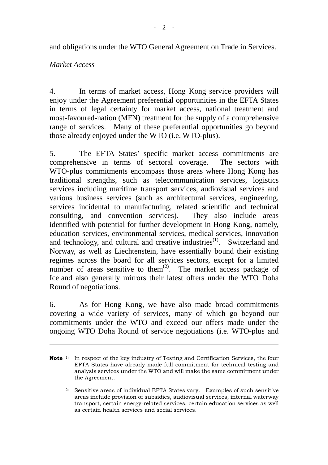and obligations under the WTO General Agreement on Trade in Services.

### *Market Access*

 $\overline{a}$ 

4. In terms of market access, Hong Kong service providers will enjoy under the Agreement preferential opportunities in the EFTA States in terms of legal certainty for market access, national treatment and most-favoured-nation (MFN) treatment for the supply of a comprehensive range of services. Many of these preferential opportunities go beyond those already enjoyed under the WTO (i.e. WTO-plus).

5. The EFTA States' specific market access commitments are comprehensive in terms of sectoral coverage. The sectors with WTO-plus commitments encompass those areas where Hong Kong has traditional strengths, such as telecommunication services, logistics services including maritime transport services, audiovisual services and various business services (such as architectural services, engineering, services incidental to manufacturing, related scientific and technical consulting, and convention services). They also include areas identified with potential for further development in Hong Kong, namely, education services, environmental services, medical services, innovation and technology, and cultural and creative industries $(1)$ . Switzerland and Norway, as well as Liechtenstein, have essentially bound their existing regimes across the board for all services sectors, except for a limited number of areas sensitive to them<sup>(2)</sup>. The market access package of Iceland also generally mirrors their latest offers under the WTO Doha Round of negotiations.

6. As for Hong Kong, we have also made broad commitments covering a wide variety of services, many of which go beyond our commitments under the WTO and exceed our offers made under the ongoing WTO Doha Round of service negotiations (i.e. WTO-plus and

**Note** (1) In respect of the key industry of Testing and Certification Services, the four EFTA States have already made full commitment for technical testing and analysis services under the WTO and will make the same commitment under the Agreement.

 $(2)$  Sensitive areas of individual EFTA States vary. Examples of such sensitive areas include provision of subsidies, audiovisual services, internal waterway transport, certain energy-related services, certain education services as well as certain health services and social services.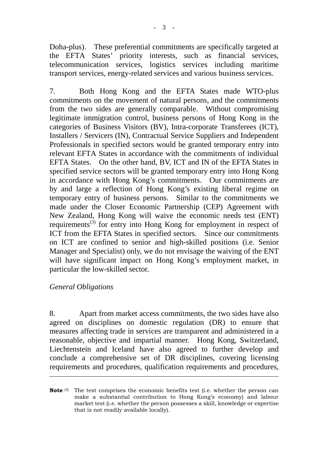Doha-plus). These preferential commitments are specifically targeted at the EFTA States' priority interests, such as financial services, telecommunication services, logistics services including maritime transport services, energy-related services and various business services.

7. Both Hong Kong and the EFTA States made WTO-plus commitments on the movement of natural persons, and the commitments from the two sides are generally comparable. Without compromising legitimate immigration control, business persons of Hong Kong in the categories of Business Visitors (BV), Intra-corporate Transferees (ICT), Installers / Servicers (IN), Contractual Service Suppliers and Independent Professionals in specified sectors would be granted temporary entry into relevant EFTA States in accordance with the commitments of individual EFTA States. On the other hand, BV, ICT and IN of the EFTA States in specified service sectors will be granted temporary entry into Hong Kong in accordance with Hong Kong's commitments. Our commitments are by and large a reflection of Hong Kong's existing liberal regime on temporary entry of business persons. Similar to the commitments we made under the Closer Economic Partnership (CEP) Agreement with New Zealand, Hong Kong will waive the economic needs test (ENT) requirements<sup>(3)</sup> for entry into Hong Kong for employment in respect of ICT from the EFTA States in specified sectors. Since our commitments on ICT are confined to senior and high-skilled positions (i.e. Senior Manager and Specialist) only, we do not envisage the waiving of the ENT will have significant impact on Hong Kong's employment market, in particular the low-skilled sector.

### *General Obligations*

 $\overline{a}$ 

8. Apart from market access commitments, the two sides have also agreed on disciplines on domestic regulation (DR) to ensure that measures affecting trade in services are transparent and administered in a reasonable, objective and impartial manner. Hong Kong, Switzerland, Liechtenstein and Iceland have also agreed to further develop and conclude a comprehensive set of DR disciplines, covering licensing requirements and procedures, qualification requirements and procedures,

**Note** (3) The test comprises the economic benefits test (i.e. whether the person can make a substantial contribution to Hong Kong's economy) and labour market test (i.e. whether the person possesses a skill, knowledge or expertise that is not readily available locally).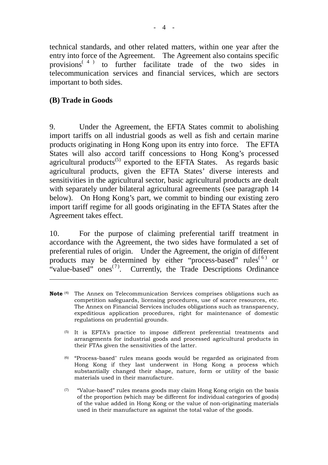technical standards, and other related matters, within one year after the entry into force of the Agreement. The Agreement also contains specific provisions<sup> $(4)$ </sup> to further facilitate trade of the two sides in to further facilitate trade of the two sides in telecommunication services and financial services, which are sectors important to both sides.

### **(B) Trade in Goods**

 $\overline{a}$ 

9. Under the Agreement, the EFTA States commit to abolishing import tariffs on all industrial goods as well as fish and certain marine products originating in Hong Kong upon its entry into force. The EFTA States will also accord tariff concessions to Hong Kong's processed agricultural products<sup> $(5)$ </sup> exported to the EFTA States. As regards basic agricultural products, given the EFTA States' diverse interests and sensitivities in the agricultural sector, basic agricultural products are dealt with separately under bilateral agricultural agreements (see paragraph 14 below). On Hong Kong's part, we commit to binding our existing zero import tariff regime for all goods originating in the EFTA States after the Agreement takes effect.

10. For the purpose of claiming preferential tariff treatment in accordance with the Agreement, the two sides have formulated a set of preferential rules of origin. Under the Agreement, the origin of different products may be determined by either "process-based" rules<sup>(6)</sup> or "value-based" ones<sup> $(7)$ </sup>. Currently, the Trade Descriptions Ordinance

- **Note** (4) The Annex on Telecommunication Services comprises obligations such as competition safeguards, licensing procedures, use of scarce resources, etc. The Annex on Financial Services includes obligations such as transparency, expeditious application procedures, right for maintenance of domestic regulations on prudential grounds.
	- (5) It is EFTA's practice to impose different preferential treatments and arrangements for industrial goods and processed agricultural products in their FTAs given the sensitivities of the latter.
	- (6) "Process-based" rules means goods would be regarded as originated from Hong Kong if they last underwent in Hong Kong a process which substantially changed their shape, nature, form or utility of the basic materials used in their manufacture.
	- $(7)$  "Value-based" rules means goods may claim Hong Kong origin on the basis of the proportion (which may be different for individual categories of goods) of the value added in Hong Kong or the value of non-originating materials used in their manufacture as against the total value of the goods.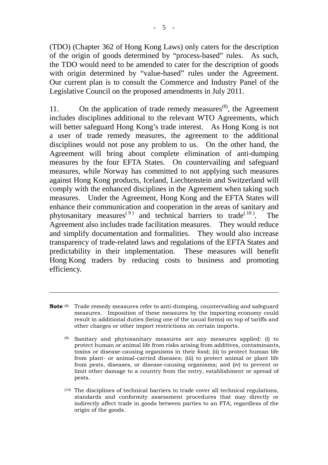(TDO) (Chapter 362 of Hong Kong Laws) only caters for the description of the origin of goods determined by "process-based" rules. As such, the TDO would need to be amended to cater for the description of goods with origin determined by "value-based" rules under the Agreement. Our current plan is to consult the Commerce and Industry Panel of the Legislative Council on the proposed amendments in July 2011.

11. On the application of trade remedy measures<sup> $(8)$ </sup>, the Agreement includes disciplines additional to the relevant WTO Agreements, which will better safeguard Hong Kong's trade interest. As Hong Kong is not a user of trade remedy measures, the agreement to the additional disciplines would not pose any problem to us. On the other hand, the Agreement will bring about complete elimination of anti-dumping measures by the four EFTA States. On countervailing and safeguard measures, while Norway has committed to not applying such measures against Hong Kong products, Iceland, Liechtenstein and Switzerland will comply with the enhanced disciplines in the Agreement when taking such measures. Under the Agreement, Hong Kong and the EFTA States will enhance their communication and cooperation in the areas of sanitary and phytosanitary measures<sup>(9)</sup> and technical barriers to trade<sup>(10)</sup>. The Agreement also includes trade facilitation measures. They would reduce and simplify documentation and formalities. They would also increase transparency of trade-related laws and regulations of the EFTA States and predictability in their implementation. These measures will benefit Hong Kong traders by reducing costs to business and promoting efficiency.

**Note** (8) Trade remedy measures refer to anti-dumping, countervailing and safeguard measures. Imposition of these measures by the importing economy could result in additional duties (being one of the usual forms) on top of tariffs and other charges or other import restrictions on certain imports.

 $\overline{a}$ 

- (9) Sanitary and phytosanitary measures are any measures applied: (i) to protect human or animal life from risks arising from additives, contaminants, toxins or disease-causing organisms in their food; (ii) to protect human life from plant- or animal-carried diseases; (iii) to protect animal or plant life from pests, diseases, or disease-causing organisms; and (iv) to prevent or limit other damage to a country from the entry, establishment or spread of pests.
- $(10)$  The disciplines of technical barriers to trade cover all technical regulations, standards and conformity assessment procedures that may directly or indirectly affect trade in goods between parties to an FTA, regardless of the origin of the goods.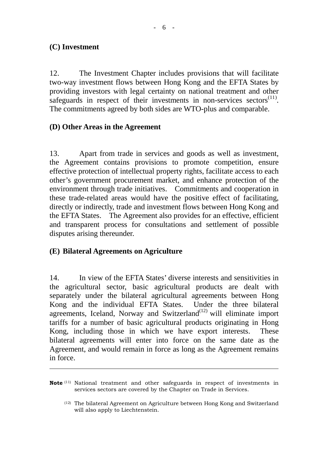# **(C) Investment**

 $\overline{a}$ 

12. The Investment Chapter includes provisions that will facilitate two-way investment flows between Hong Kong and the EFTA States by providing investors with legal certainty on national treatment and other safeguards in respect of their investments in non-services sectors $(11)$ . The commitments agreed by both sides are WTO-plus and comparable.

## **(D) Other Areas in the Agreement**

13. Apart from trade in services and goods as well as investment, the Agreement contains provisions to promote competition, ensure effective protection of intellectual property rights, facilitate access to each other's government procurement market, and enhance protection of the environment through trade initiatives. Commitments and cooperation in these trade-related areas would have the positive effect of facilitating, directly or indirectly, trade and investment flows between Hong Kong and the EFTA States. The Agreement also provides for an effective, efficient and transparent process for consultations and settlement of possible disputes arising thereunder.

# **(E) Bilateral Agreements on Agriculture**

14. In view of the EFTA States' diverse interests and sensitivities in the agricultural sector, basic agricultural products are dealt with separately under the bilateral agricultural agreements between Hong Kong and the individual EFTA States. Under the three bilateral agreements, Iceland, Norway and Switzerland<sup> $(12)$ </sup> will eliminate import tariffs for a number of basic agricultural products originating in Hong Kong, including those in which we have export interests. These bilateral agreements will enter into force on the same date as the Agreement, and would remain in force as long as the Agreement remains in force.

**Note** <sup>(11)</sup> National treatment and other safeguards in respect of investments in services sectors are covered by the Chapter on Trade in Services.

 <sup>(12)</sup> The bilateral Agreement on Agriculture between Hong Kong and Switzerland will also apply to Liechtenstein.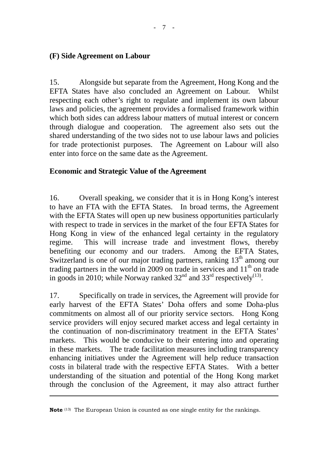## **(F) Side Agreement on Labour**

15. Alongside but separate from the Agreement, Hong Kong and the EFTA States have also concluded an Agreement on Labour. Whilst respecting each other's right to regulate and implement its own labour laws and policies, the agreement provides a formalised framework within which both sides can address labour matters of mutual interest or concern through dialogue and cooperation. The agreement also sets out the shared understanding of the two sides not to use labour laws and policies for trade protectionist purposes. The Agreement on Labour will also enter into force on the same date as the Agreement.

#### **Economic and Strategic Value of the Agreement**

16. Overall speaking, we consider that it is in Hong Kong's interest to have an FTA with the EFTA States. In broad terms, the Agreement with the EFTA States will open up new business opportunities particularly with respect to trade in services in the market of the four EFTA States for Hong Kong in view of the enhanced legal certainty in the regulatory regime. This will increase trade and investment flows, thereby benefiting our economy and our traders. Among the EFTA States, Switzerland is one of our major trading partners, ranking  $13<sup>th</sup>$  among our trading partners in the world in 2009 on trade in services and  $11<sup>th</sup>$  on trade in goods in 2010; while Norway ranked  $32<sup>nd</sup>$  and  $33<sup>rd</sup>$  respectively<sup>(13)</sup>.

17. Specifically on trade in services, the Agreement will provide for early harvest of the EFTA States' Doha offers and some Doha-plus commitments on almost all of our priority service sectors. Hong Kong service providers will enjoy secured market access and legal certainty in the continuation of non-discriminatory treatment in the EFTA States' markets. This would be conducive to their entering into and operating in these markets. The trade facilitation measures including transparency enhancing initiatives under the Agreement will help reduce transaction costs in bilateral trade with the respective EFTA States. With a better understanding of the situation and potential of the Hong Kong market through the conclusion of the Agreement, it may also attract further

 $\overline{a}$ 

**Note** <sup>(13)</sup> The European Union is counted as one single entity for the rankings.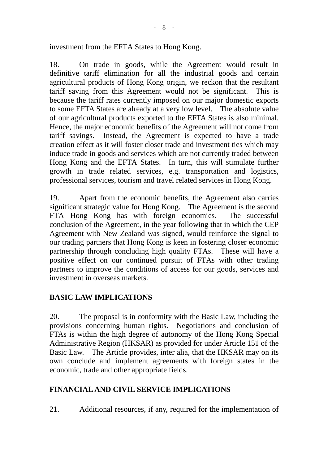investment from the EFTA States to Hong Kong.

18. On trade in goods, while the Agreement would result in definitive tariff elimination for all the industrial goods and certain agricultural products of Hong Kong origin, we reckon that the resultant tariff saving from this Agreement would not be significant. This is because the tariff rates currently imposed on our major domestic exports to some EFTA States are already at a very low level. The absolute value of our agricultural products exported to the EFTA States is also minimal. Hence, the major economic benefits of the Agreement will not come from tariff savings. Instead, the Agreement is expected to have a trade creation effect as it will foster closer trade and investment ties which may induce trade in goods and services which are not currently traded between Hong Kong and the EFTA States. In turn, this will stimulate further growth in trade related services, e.g. transportation and logistics, professional services, tourism and travel related services in Hong Kong.

19. Apart from the economic benefits, the Agreement also carries significant strategic value for Hong Kong. The Agreement is the second FTA Hong Kong has with foreign economies. The successful conclusion of the Agreement, in the year following that in which the CEP Agreement with New Zealand was signed, would reinforce the signal to our trading partners that Hong Kong is keen in fostering closer economic partnership through concluding high quality FTAs. These will have a positive effect on our continued pursuit of FTAs with other trading partners to improve the conditions of access for our goods, services and investment in overseas markets.

# **BASIC LAW IMPLICATIONS**

20. The proposal is in conformity with the Basic Law, including the provisions concerning human rights. Negotiations and conclusion of FTAs is within the high degree of autonomy of the Hong Kong Special Administrative Region (HKSAR) as provided for under Article 151 of the Basic Law. The Article provides, inter alia, that the HKSAR may on its own conclude and implement agreements with foreign states in the economic, trade and other appropriate fields.

# **FINANCIAL AND CIVIL SERVICE IMPLICATIONS**

21. Additional resources, if any, required for the implementation of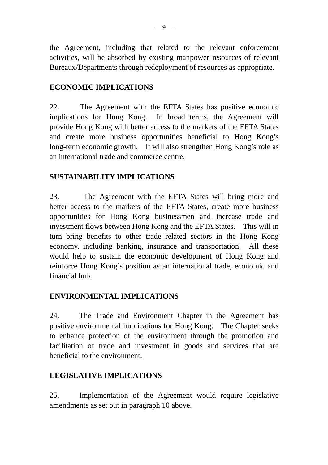the Agreement, including that related to the relevant enforcement activities, will be absorbed by existing manpower resources of relevant Bureaux/Departments through redeployment of resources as appropriate.

# **ECONOMIC IMPLICATIONS**

22. The Agreement with the EFTA States has positive economic implications for Hong Kong. In broad terms, the Agreement will provide Hong Kong with better access to the markets of the EFTA States and create more business opportunities beneficial to Hong Kong's long-term economic growth. It will also strengthen Hong Kong's role as an international trade and commerce centre.

# **SUSTAINABILITY IMPLICATIONS**

23. The Agreement with the EFTA States will bring more and better access to the markets of the EFTA States, create more business opportunities for Hong Kong businessmen and increase trade and investment flows between Hong Kong and the EFTA States. This will in turn bring benefits to other trade related sectors in the Hong Kong economy, including banking, insurance and transportation. All these would help to sustain the economic development of Hong Kong and reinforce Hong Kong's position as an international trade, economic and financial hub.

# **ENVIRONMENTAL IMPLICATIONS**

24. The Trade and Environment Chapter in the Agreement has positive environmental implications for Hong Kong. The Chapter seeks to enhance protection of the environment through the promotion and facilitation of trade and investment in goods and services that are beneficial to the environment.

# **LEGISLATIVE IMPLICATIONS**

25. Implementation of the Agreement would require legislative amendments as set out in paragraph 10 above.